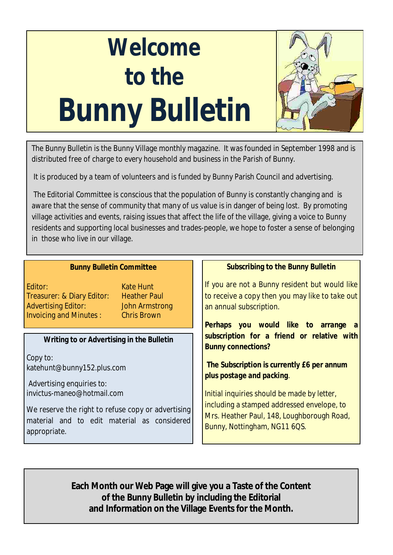# **Welcome to the Bunny Bulletin**



The Bunny Bulletin is the Bunny Village monthly magazine. It was founded in September 1998 and is distributed free of charge to every household and business in the Parish of Bunny.

It is produced by a team of volunteers and is funded by Bunny Parish Council and advertising.

The Editorial Committee is conscious that the population of Bunny is constantly changing and is aware that the sense of community that many of us value is in danger of being lost. By promoting village activities and events, raising issues that affect the life of the village, giving a voice to Bunny residents and supporting local businesses and trades-people, we hope to foster a sense of belonging in those who live in our village.

| <b>Bunny Bulletin Committee</b>                                                                                                                                                            | Subscribing to the Bunny Bulletin                                                                                            |
|--------------------------------------------------------------------------------------------------------------------------------------------------------------------------------------------|------------------------------------------------------------------------------------------------------------------------------|
| Editor:<br>Kate Hunt<br>Treasurer: & Diary Editor:<br><b>Heather Paul</b><br><b>Advertising Editor:</b><br>John Armstrong<br><b>Invoicing and Minutes:</b><br><b>Example 2</b> Chris Brown | If you are not a Bunny resident but would like<br>to receive a copy then you may like to take out<br>an annual subscription. |
|                                                                                                                                                                                            | Perhaps you would like to arrange a                                                                                          |
| Writing to or Advertising in the Bulletin                                                                                                                                                  | subscription for a friend or relative with<br><b>Bunny connections?</b>                                                      |
| Copy to:<br>katehunt@bunny152.plus.com<br>Advertising enquiries to:                                                                                                                        | The Subscription is currently E6 per annum<br>plus postage and packing.                                                      |
| invictus-maneo@hotmail.com                                                                                                                                                                 | Initial inquiries should be made by letter,                                                                                  |
| We reserve the right to refuse copy or advertising<br>material and to edit material as considered<br>appropriate.                                                                          | including a stamped addressed envelope, to<br>Mrs. Heather Paul, 148, Loughborough Road,<br>Bunny, Nottingham, NG11 6QS.     |

**Each Month our Web Page will give you a Taste of the Content of the Bunny Bulletin by including the Editorial and Information on the Village Events for the Month.**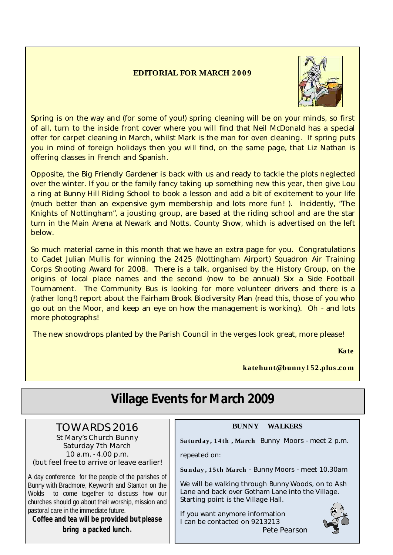#### **EDITORIAL FOR MARCH 2 0 0 9**



Spring is on the way and (for some of you!) spring cleaning will be on your minds, so first of all, turn to the inside front cover where you will find that Neil McDonald has a special offer for carpet cleaning in March, whilst Mark is the man for oven cleaning. If spring puts you in mind of foreign holidays then you will find, on the same page, that Liz Nathan is offering classes in French and Spanish.

Opposite, the Big Friendly Gardener is back with us and ready to tackle the plots neglected over the winter. If you or the family fancy taking up something new this year, then give Lou a ring at Bunny Hill Riding School to book a lesson and add a bit of excitement to your life (much better than an expensive gym membership and lots more fun! ). Incidently, "The Knights of Nottingham", a jousting group, are based at the riding school and are the star turn in the Main Arena at Newark and Notts. County Show, which is advertised on the left below.

So much material came in this month that we have an extra page for you. Congratulations to Cadet Julian Mullis for winning the 2425 (Nottingham Airport) Squadron Air Training Corps Shooting Award for 2008. There is a talk, organised by the History Group, on the origins of local place names and the second (now to be annual) Six a Side Football Tournament. The Community Bus is looking for more volunteer drivers and there is a (rather long!) report about the Fairham Brook Biodiversity Plan (read this, those of you who go out on the Moor, and keep an eye on how the management is working). Oh - and lots more photographs!

The new snowdrops planted by the Parish Council in the verges look great, more please!

**Kate**

**katehunt@bunny1 52 .plus.co m**

| <b>Village Events for March 2009</b>                                                                                                                                                                                                                                                                                                            |                                                                                                                                                                                                                                                                                                      |  |
|-------------------------------------------------------------------------------------------------------------------------------------------------------------------------------------------------------------------------------------------------------------------------------------------------------------------------------------------------|------------------------------------------------------------------------------------------------------------------------------------------------------------------------------------------------------------------------------------------------------------------------------------------------------|--|
| TOWARDS 2016<br>St Mary's Church Bunny<br>Saturday 7th March<br>10 a.m. - 4.00 p.m.<br>(but feel free to arrive or leave earlier!<br>A day conference for the people of the parishes of<br>Bunny with Bradmore, Keyworth and Stanton on the<br>Wolds to come together to discuss how our<br>churches should go about their worship, mission and | <b>WALKERS</b><br><b>BUNNY</b><br>Saturday, 14th, March Bunny Moors - meet 2 p.m.<br>repeated on:<br>Sunday, 15th March - Bunny Moors - meet 10.30am<br>We will be walking through Bunny Woods, on to Ash<br>Lane and back over Gotham Lane into the Village.<br>Starting point is the Village Hall. |  |
| pastoral care in the immediate future.<br>Coffee and tea will be provided but please<br>bring a packed lunch.                                                                                                                                                                                                                                   | If you want anymore information<br>I can be contacted on 9213213<br>Pete Pearson                                                                                                                                                                                                                     |  |